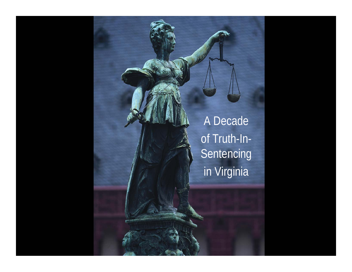A Decade of Truth-In-**Sentencing** in Virginia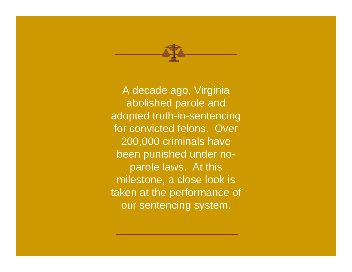

A decade ago, Virginia abolished parole and adopted truth-in-sentencing for convicted felons. Over 200,000 criminals have been punished under noparole laws. At this milestone, a close look is taken at the performance of our sentencing system.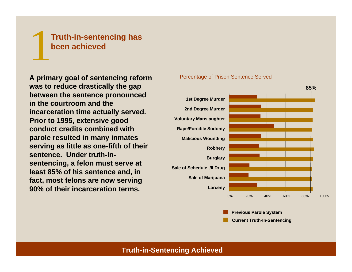# 1**Truth-in-sentencing has been achieved**

**A primary goal of sentencing reform was to r educe drastically the gap between the sentence pronounced in the courtroom and the incarceration time actually served. Prior to 1995, extensive good conduct credits combined withparole resulted in many inmates serving as lit tle as one-fifth of t heir sentence. Under truth-insentencing, a felon must serve at least 85% of his sentence and, in fact, most felons are n ow serving 90% of their incarceration terms.** 

#### Percentage of Prison Sentence Served



**Previous Parole System**

**Current Truth-In-Sentencing**

### **Truth-in-Sentencing Achieved**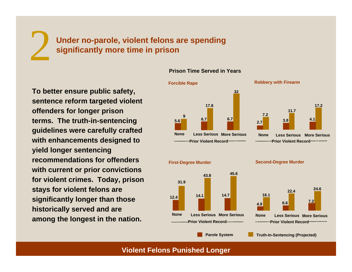**Under no-parole, violent felons are spending significantly more time in prison**

**To better ensure public safety, sentence reform targeted violent offenders for longer prison terms. The truth-in-sentencing guidelines were carefully crafted with enhancements designed to yield longer sentencing recommendations for offenders with current or prior convictions for violent crimes. Today, prison stays for violent felons are significantly longer than those historically served and are among the longest in the nation.** 

2

#### **Prison Time Served in Years**



#### **Violent Felons Punished Longer**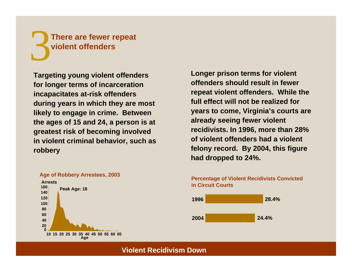# 3**There are fewer repeat violent offenders**

**Targeting young violent offenders for longer terms of incarceration incapacitates at-risk off enders during years in which t hey are most likely to engage in crime. Between the ages of 15 and 24, a person is at greatest risk of becoming involved in violent criminal behavior, such as robbery**



**Age of Ro bbery Arrestees, 2003**

**Longer prison terms for violent offenders should result in fewer repeat violent offenders. While the full effect will not be realized for years to come, Virginia's court s are already seeing f ewer violent recidivists. In 1996, more than 28% of violent offenders had a violent felony record. By 2004, this figure had dropped to 24%.**

**Percentage of Violent Recidivists Convicted in Circuit Courts**



**Violent Recidivism Down**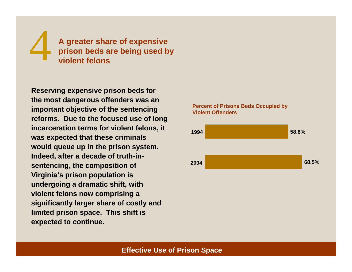# 4**A greater share of expensive prison beds are being used by violent felons**

**Reserving expensive prison beds for the most dangerous offenders was an important objective of the sentencing reforms. Due to the focused use of long incarceration terms for violent felons, it was expected that these criminals would queue up in the prison system. Indeed, after a decade of truth-insentencing, the composition of Virginia's prison population is undergoing a dramatic shift, with violent felons now comprising a significantly larger share of costly and limited prison space. This shift is expected to continue.** 

#### **Percent of Prisons Beds Occupied by Violent Offenders**



## **Effective Use of Prison Space**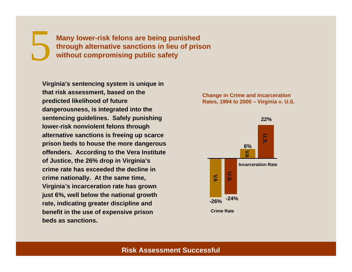5 **Many lower-risk felons are being punished through alternative sanctions in lieu of prison without compromising public safety** 

**Virginia's sentencing system is unique in that risk assessment, based on the predicted likelihood of future dangerousness, is integrated into the sentencing guidelines. Safely punishing lower-risk nonviolent felons through alternative sanctions is freeing up scarce prison beds to house the more dangerous offenders. According to the Vera Institute of Justice, the 26% drop in Virginia's crime rate has exceeded the decline in crime nationally. At the same time, Virginia's incarceration rate has grown just 6%, well below the national growth rate, indicating greater discipline and benefit in the use of expensive prison beds as sanctions.** 

#### **Change in Crime and Incarceration Rates, 1994 to 2000 – Virginia v. U.S.**



### **Risk Assessment Successful**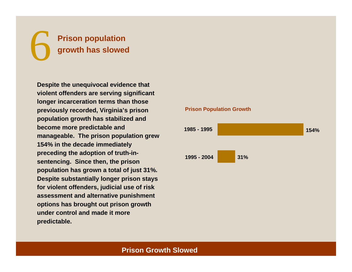# 6 **Prison population growth has slowed**

**Despite the unequivocal evidence that violent offenders are serving significant longer incarceration terms than those previously recorded, Virginia's prison population growth has stabilized and become more predictable and manageable. The prison population grew 154% in the decade immediately preceding the adoption of truth-insentencing. Since then, the prison population has grown a total of just 31%. Despite substantially longer prison stays for violent offenders, judicial use of risk assessment and alternative punishment options has brought out prison growth under control and made it more predictable.** 

#### **Prison Population Growth**



# **Prison Growth Slowed**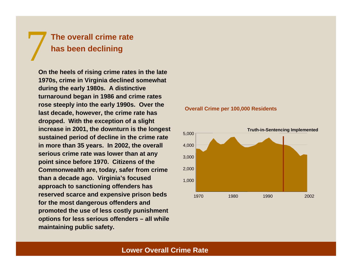# 7 **The overall crime rate has been declining**

**On the heels of rising crime rates in the late 1970s, crime in Virginia declined somewhat during the early 1980s. A distinctive turnaround began in 1986 and crime rates rose steeply into the early 1990s. Over the last decade, however, the crime rate has dropped. With the exception of a slight increase in 2001, the downturn is the longest sustained period of decline in the crime rate in more than 35 years. In 2002, the overall serious crime rate was lower than at any point since before 1970. Citizens of the Commonwealth are, today, safer from crime than a decade ago. Virginia's focused approach to sanctioning offenders has reserved scarce and expensive prison beds for the most dangerous offenders and promoted the use of less costly punishment options for less serious offenders – all while maintaining public safety.**





### **Lower Overall Crime Rate**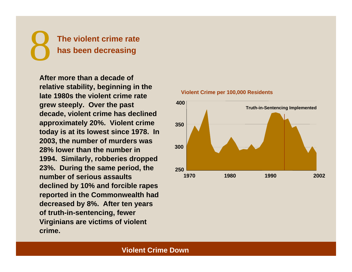

**After more than a decade of relative stability, beginning in the late 1980s the violent crime rategrew steeply. Over the past decade, violent crime has declined approximately 20%. Violent crime today is at its lowest since 1978. In 2003, the number of murders was 28% lower than the number in 1994. Similarly, robberies dropped 23%. During the same period, the number of serious assaults declined by 10% and forcible rapes reported in the Commonwealth had decreased by 8%. After ten years of truth-in-sentencing, fewer Virginians are victims of violent crime.** 



#### **Violent Crime per 100,000 Residents**

## **Violent Crime Down**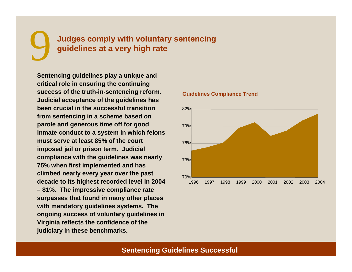# 9 **Judges comply with voluntary sentencing guidelines at a very high rate**

**Sentencing guidelines play a unique and critical role in ensuring the continuing success of the truth-in-sentencing reform. Judicial acceptance of the guidelines has been crucial in the successful transition from sentencing in a scheme based on parole and generous time off for good inmate conduct to a system in which felons must serve at least 85% of the court imposed jail or prison term. Judicial compliance with the guidelines was nearly 75% when first implemented and has climbed nearly every year over the past decade to its highest recorded level in 2004 – 81%. The impressive compliance rate surpasses that found in many other places with mandatory guidelines systems. The ongoing success of voluntary guidelines in Virginia reflects the confidence of the judiciary in these benchmarks.** 



#### **Guidelines Compliance Trend**

### **Sentencing Guidelines Successful**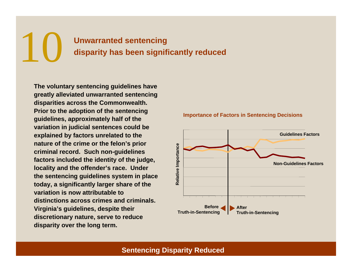# 10 **Unwarranted sentencing disparity has been significantly reduced**

**The voluntary sentencing guidelines have greatly alleviated unwarranted sentencing disparities across the Commonwealth. Prior to the adoption of the sentencing guidelines, approximately half of the variation in judicial sentences could be explained by factors unrelated to the nature of the crime or the felon's prior criminal record. Such non-guidelines factors included the identity of the judge, locality and the offender's race. Under the sentencing guidelines system in place today, a significantly larger share of the variation is now attributable to distinctions across crimes and criminals. Virginia's guidelines, despite their discretionary nature, serve to reduce disparity over the long term.** 



#### **Importance of Factors in Sentencing Decisions**

## **Sentencing Disparity Reduced**